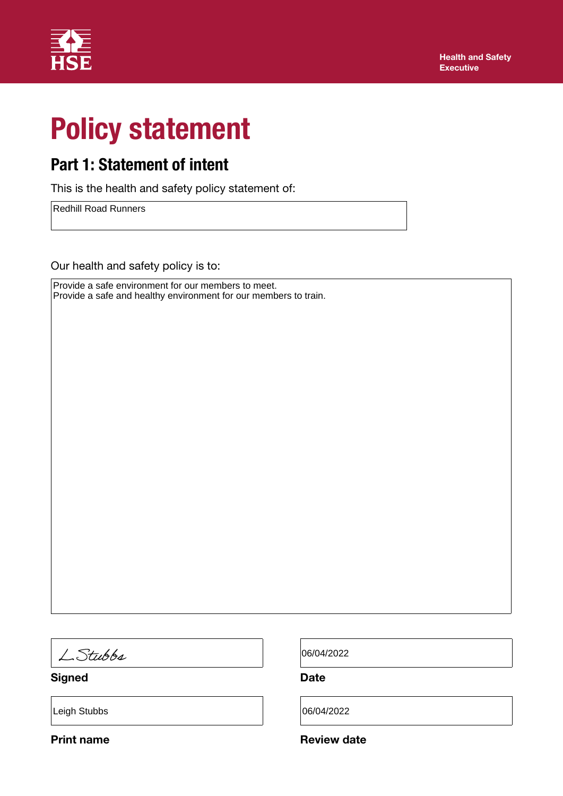

# Policy statement

## Part 1: Statement of intent

This is the health and safety policy statement of:

Redhill Road Runners

Our health and safety policy is to:

Provide a safe environment for our members to meet. Provide a safe and healthy environment for our members to train.

LStubbs

Signed Date

Leigh Stubbs 06/04/2022

06/04/2022

Print name **Review date** Review date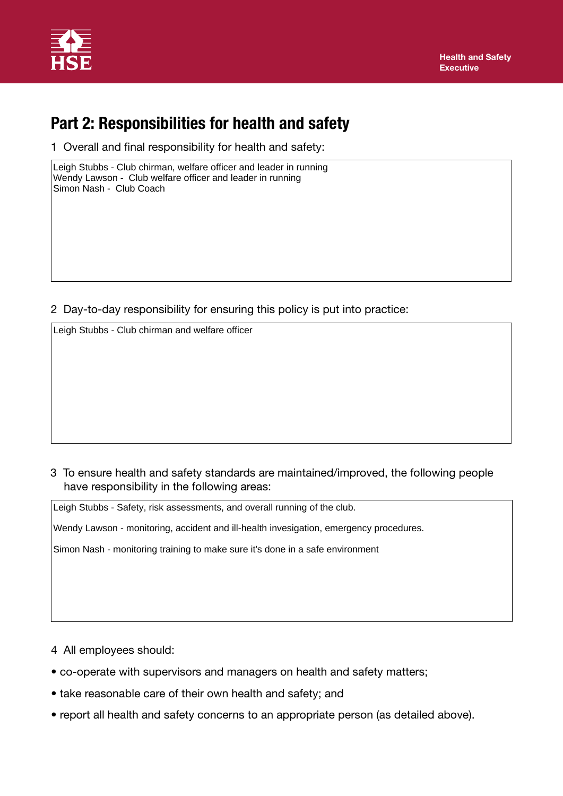

## Part 2: Responsibilities for health and safety

1 Overall and final responsibility for health and safety:

Leigh Stubbs - Club chirman, welfare officer and leader in running Wendy Lawson - Club welfare officer and leader in running Simon Nash - Club Coach

2 Day-to-day responsibility for ensuring this policy is put into practice:

3 To ensure health and safety standards are maintained/improved, the following people have responsibility in the following areas: Leigh Stubbs - Club chirman and welfare officer<br>
3 To ensure health and safety standards are maintained/impl<br>
have responsibility in the following areas:<br>
Leigh Stubbs - Safety, risk assessments, and overall running of the

Wendy Lawson - monitoring, accident and ill-health invesigation, emergency procedures.

Simon Nash - monitoring training to make sure it's done in a safe environment

- 4 All employees should:
- co-operate with supervisors and managers on health and safety matters;
- take reasonable care of their own health and safety; and
- report all health and safety concerns to an appropriate person (as detailed above).